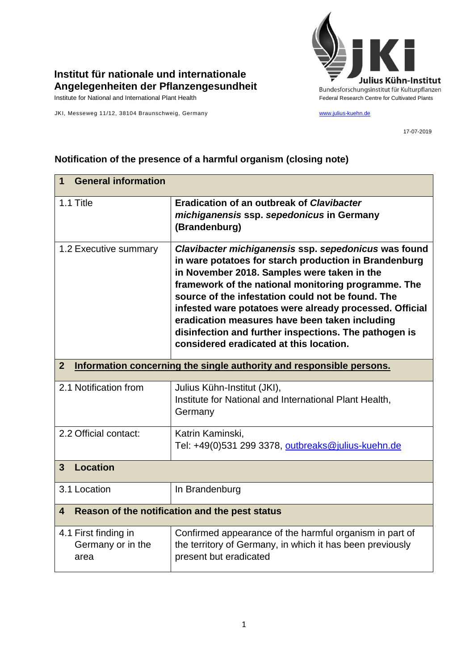

## **Institut für nationale und internationale Angelegenheiten der Pflanzengesundheit**

JKI, Messeweg 11/12, 38104 Braunschweig, Germany [www.julius-kuehn.de](http://www.julius-kuehn.de/)

17-07-2019

## **1 General information** 1.1 Title **Eradication of an outbreak of** *Clavibacter michiganensis* **ssp.** *sepedonicus* **in Germany (Brandenburg)** 1.2 Executive summary *Clavibacter michiganensis* **ssp.** *sepedonicus* **was found in ware potatoes for starch production in Brandenburg in November 2018. Samples were taken in the framework of the national monitoring programme. The source of the infestation could not be found. The infested ware potatoes were already processed. Official eradication measures have been taken including disinfection and further inspections. The pathogen is considered eradicated at this location. 2 Information concerning the single authority and responsible persons.** 2.1 Notification from  $\vert$  Julius Kühn-Institut (JKI), Institute for National and International Plant Health, **Germany** 2.2 Official contact: Katrin Kaminski, Tel: +49(0)531 299 3378, [outbreaks@julius-kuehn.de](mailto:outbreaks@julius-kuehn.de) **3 Location**  3.1 Location | In Brandenburg **4 Reason of the notification and the pest status** 4.1 First finding in Germany or in the area Confirmed appearance of the harmful organism in part of the territory of Germany, in which it has been previously present but eradicated

## **Notification of the presence of a harmful organism (closing note)**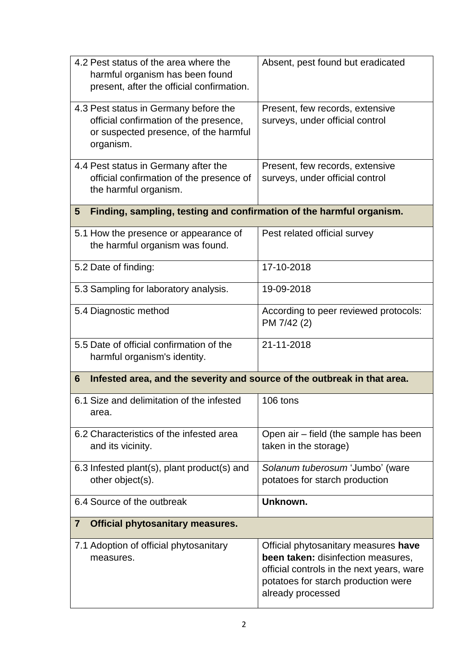| 4.2 Pest status of the area where the<br>harmful organism has been found<br>present, after the official confirmation.                 | Absent, pest found but eradicated                                                                                                                                                   |  |
|---------------------------------------------------------------------------------------------------------------------------------------|-------------------------------------------------------------------------------------------------------------------------------------------------------------------------------------|--|
| 4.3 Pest status in Germany before the<br>official confirmation of the presence,<br>or suspected presence, of the harmful<br>organism. | Present, few records, extensive<br>surveys, under official control                                                                                                                  |  |
| 4.4 Pest status in Germany after the<br>official confirmation of the presence of<br>the harmful organism.                             | Present, few records, extensive<br>surveys, under official control                                                                                                                  |  |
| Finding, sampling, testing and confirmation of the harmful organism.<br>$5\phantom{.0}$                                               |                                                                                                                                                                                     |  |
| 5.1 How the presence or appearance of<br>the harmful organism was found.                                                              | Pest related official survey                                                                                                                                                        |  |
| 5.2 Date of finding:                                                                                                                  | 17-10-2018                                                                                                                                                                          |  |
| 5.3 Sampling for laboratory analysis.                                                                                                 | 19-09-2018                                                                                                                                                                          |  |
| 5.4 Diagnostic method                                                                                                                 | According to peer reviewed protocols:<br>PM 7/42 (2)                                                                                                                                |  |
| 5.5 Date of official confirmation of the<br>harmful organism's identity.                                                              | 21-11-2018                                                                                                                                                                          |  |
| Infested area, and the severity and source of the outbreak in that area.<br>6                                                         |                                                                                                                                                                                     |  |
| 6.1 Size and delimitation of the infested<br>area.                                                                                    | 106 tons                                                                                                                                                                            |  |
| 6.2 Characteristics of the infested area<br>and its vicinity.                                                                         | Open air – field (the sample has been<br>taken in the storage)                                                                                                                      |  |
| 6.3 Infested plant(s), plant product(s) and<br>other object(s).                                                                       | Solanum tuberosum 'Jumbo' (ware<br>potatoes for starch production                                                                                                                   |  |
| 6.4 Source of the outbreak                                                                                                            | Unknown.                                                                                                                                                                            |  |
| <b>Official phytosanitary measures.</b><br>7                                                                                          |                                                                                                                                                                                     |  |
| 7.1 Adoption of official phytosanitary<br>measures.                                                                                   | Official phytosanitary measures have<br>been taken: disinfection measures,<br>official controls in the next years, ware<br>potatoes for starch production were<br>already processed |  |